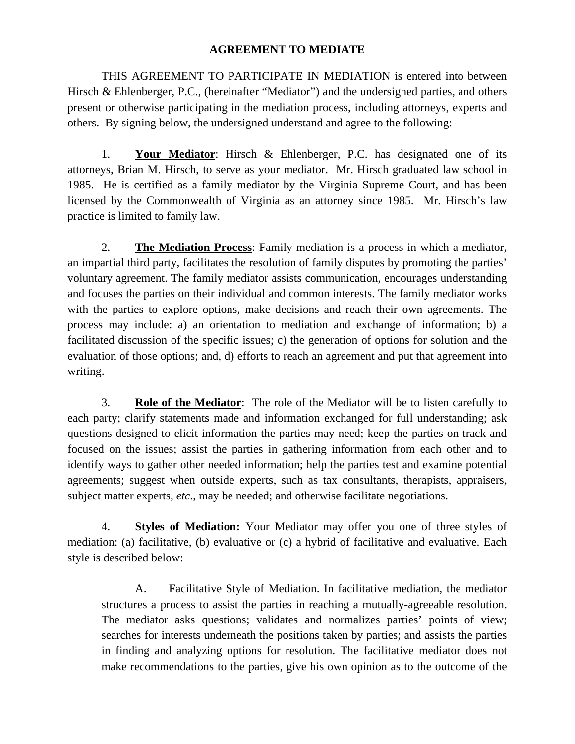## **AGREEMENT TO MEDIATE**

THIS AGREEMENT TO PARTICIPATE IN MEDIATION is entered into between Hirsch & Ehlenberger, P.C., (hereinafter "Mediator") and the undersigned parties, and others present or otherwise participating in the mediation process, including attorneys, experts and others. By signing below, the undersigned understand and agree to the following:

1. **Your Mediator**: Hirsch & Ehlenberger, P.C. has designated one of its attorneys, Brian M. Hirsch, to serve as your mediator. Mr. Hirsch graduated law school in 1985. He is certified as a family mediator by the Virginia Supreme Court, and has been licensed by the Commonwealth of Virginia as an attorney since 1985. Mr. Hirsch's law practice is limited to family law.

2. **The Mediation Process**: Family mediation is a process in which a mediator, an impartial third party, facilitates the resolution of family disputes by promoting the parties' voluntary agreement. The family mediator assists communication, encourages understanding and focuses the parties on their individual and common interests. The family mediator works with the parties to explore options, make decisions and reach their own agreements. The process may include: a) an orientation to mediation and exchange of information; b) a facilitated discussion of the specific issues; c) the generation of options for solution and the evaluation of those options; and, d) efforts to reach an agreement and put that agreement into writing.

3. **Role of the Mediator**: The role of the Mediator will be to listen carefully to each party; clarify statements made and information exchanged for full understanding; ask questions designed to elicit information the parties may need; keep the parties on track and focused on the issues; assist the parties in gathering information from each other and to identify ways to gather other needed information; help the parties test and examine potential agreements; suggest when outside experts, such as tax consultants, therapists, appraisers, subject matter experts, *etc*., may be needed; and otherwise facilitate negotiations.

4. **Styles of Mediation:** Your Mediator may offer you one of three styles of mediation: (a) facilitative, (b) evaluative or (c) a hybrid of facilitative and evaluative. Each style is described below:

A. Facilitative Style of Mediation. In facilitative mediation, the mediator structures a process to assist the parties in reaching a mutually-agreeable resolution. The mediator asks questions; validates and normalizes parties' points of view; searches for interests underneath the positions taken by parties; and assists the parties in finding and analyzing options for resolution. The facilitative mediator does not make recommendations to the parties, give his own opinion as to the outcome of the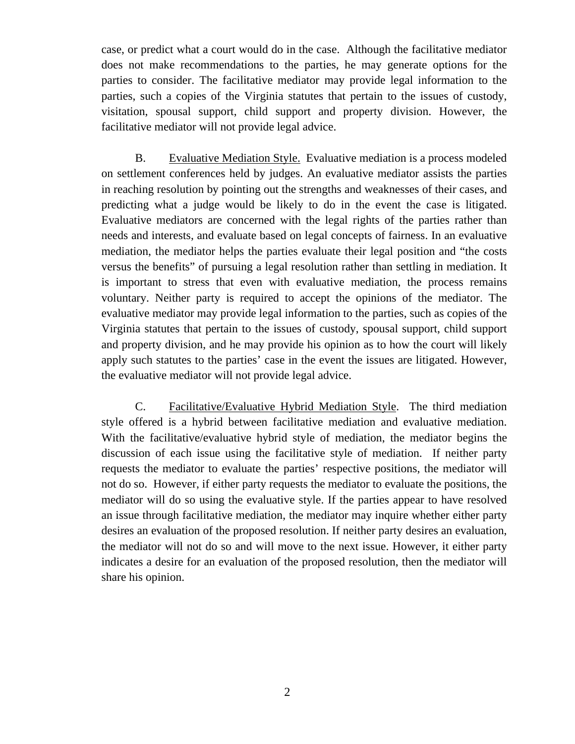case, or predict what a court would do in the case. Although the facilitative mediator does not make recommendations to the parties, he may generate options for the parties to consider. The facilitative mediator may provide legal information to the parties, such a copies of the Virginia statutes that pertain to the issues of custody, visitation, spousal support, child support and property division. However, the facilitative mediator will not provide legal advice.

B. Evaluative Mediation Style. Evaluative mediation is a process modeled on settlement conferences held by judges. An evaluative mediator assists the parties in reaching resolution by pointing out the strengths and weaknesses of their cases, and predicting what a judge would be likely to do in the event the case is litigated. Evaluative mediators are concerned with the legal rights of the parties rather than needs and interests, and evaluate based on legal concepts of fairness. In an evaluative mediation, the mediator helps the parties evaluate their legal position and "the costs versus the benefits" of pursuing a legal resolution rather than settling in mediation. It is important to stress that even with evaluative mediation, the process remains voluntary. Neither party is required to accept the opinions of the mediator. The evaluative mediator may provide legal information to the parties, such as copies of the Virginia statutes that pertain to the issues of custody, spousal support, child support and property division, and he may provide his opinion as to how the court will likely apply such statutes to the parties' case in the event the issues are litigated. However, the evaluative mediator will not provide legal advice.

C. Facilitative/Evaluative Hybrid Mediation Style. The third mediation style offered is a hybrid between facilitative mediation and evaluative mediation. With the facilitative/evaluative hybrid style of mediation, the mediator begins the discussion of each issue using the facilitative style of mediation. If neither party requests the mediator to evaluate the parties' respective positions, the mediator will not do so. However, if either party requests the mediator to evaluate the positions, the mediator will do so using the evaluative style. If the parties appear to have resolved an issue through facilitative mediation, the mediator may inquire whether either party desires an evaluation of the proposed resolution. If neither party desires an evaluation, the mediator will not do so and will move to the next issue. However, it either party indicates a desire for an evaluation of the proposed resolution, then the mediator will share his opinion.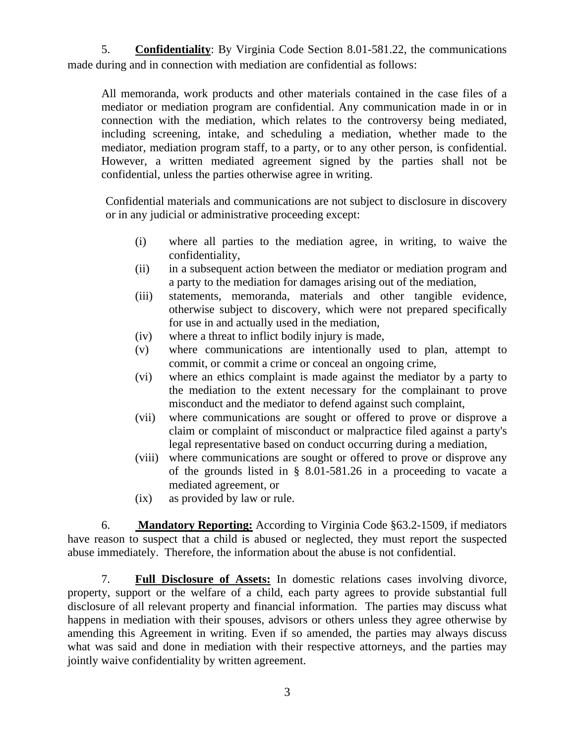5. **Confidentiality**: By Virginia Code Section 8.01-581.22, the communications made during and in connection with mediation are confidential as follows:

All memoranda, work products and other materials contained in the case files of a mediator or mediation program are confidential. Any communication made in or in connection with the mediation, which relates to the controversy being mediated, including screening, intake, and scheduling a mediation, whether made to the mediator, mediation program staff, to a party, or to any other person, is confidential. However, a written mediated agreement signed by the parties shall not be confidential, unless the parties otherwise agree in writing.

Confidential materials and communications are not subject to disclosure in discovery or in any judicial or administrative proceeding except:

- (i) where all parties to the mediation agree, in writing, to waive the confidentiality,
- (ii) in a subsequent action between the mediator or mediation program and a party to the mediation for damages arising out of the mediation,
- (iii) statements, memoranda, materials and other tangible evidence, otherwise subject to discovery, which were not prepared specifically for use in and actually used in the mediation,
- (iv) where a threat to inflict bodily injury is made,
- (v) where communications are intentionally used to plan, attempt to commit, or commit a crime or conceal an ongoing crime,
- (vi) where an ethics complaint is made against the mediator by a party to the mediation to the extent necessary for the complainant to prove misconduct and the mediator to defend against such complaint,
- (vii) where communications are sought or offered to prove or disprove a claim or complaint of misconduct or malpractice filed against a party's legal representative based on conduct occurring during a mediation,
- (viii) where communications are sought or offered to prove or disprove any of the grounds listed in § [8.01-581.26](http://leg1.state.va.us/cgi-bin/legp504.exe?000+cod+8.01-581.26) in a proceeding to vacate a mediated agreement, or
- (ix) as provided by law or rule.

6. **Mandatory Reporting:** According to Virginia Code §63.2-1509, if mediators have reason to suspect that a child is abused or neglected, they must report the suspected abuse immediately. Therefore, the information about the abuse is not confidential.

7. **Full Disclosure of Assets:** In domestic relations cases involving divorce, property, support or the welfare of a child, each party agrees to provide substantial full disclosure of all relevant property and financial information. The parties may discuss what happens in mediation with their spouses, advisors or others unless they agree otherwise by amending this Agreement in writing. Even if so amended, the parties may always discuss what was said and done in mediation with their respective attorneys, and the parties may jointly waive confidentiality by written agreement.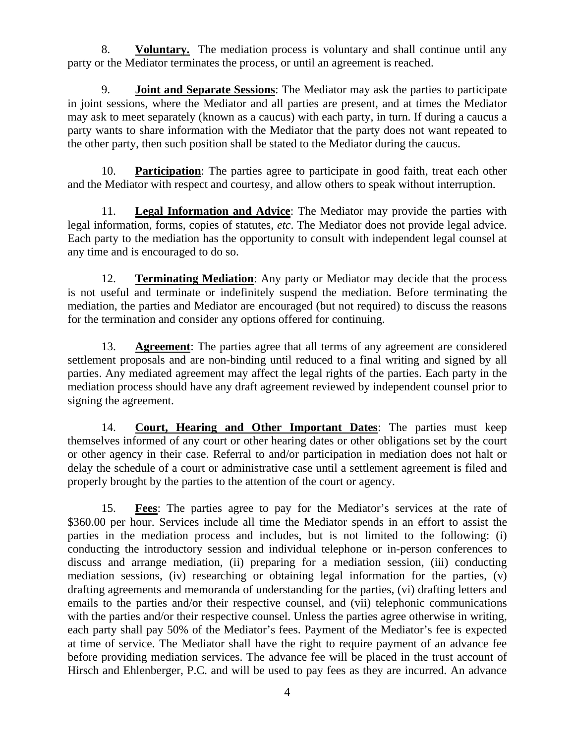8. **Voluntary.** The mediation process is voluntary and shall continue until any party or the Mediator terminates the process, or until an agreement is reached.

9. **Joint and Separate Sessions**: The Mediator may ask the parties to participate in joint sessions, where the Mediator and all parties are present, and at times the Mediator may ask to meet separately (known as a caucus) with each party, in turn. If during a caucus a party wants to share information with the Mediator that the party does not want repeated to the other party, then such position shall be stated to the Mediator during the caucus.

10. **Participation**: The parties agree to participate in good faith, treat each other and the Mediator with respect and courtesy, and allow others to speak without interruption.

11. **Legal Information and Advice**: The Mediator may provide the parties with legal information, forms, copies of statutes, *etc*. The Mediator does not provide legal advice. Each party to the mediation has the opportunity to consult with independent legal counsel at any time and is encouraged to do so.

12. **Terminating Mediation**: Any party or Mediator may decide that the process is not useful and terminate or indefinitely suspend the mediation. Before terminating the mediation, the parties and Mediator are encouraged (but not required) to discuss the reasons for the termination and consider any options offered for continuing.

13. **Agreement**: The parties agree that all terms of any agreement are considered settlement proposals and are non-binding until reduced to a final writing and signed by all parties. Any mediated agreement may affect the legal rights of the parties. Each party in the mediation process should have any draft agreement reviewed by independent counsel prior to signing the agreement.

14. **Court, Hearing and Other Important Dates**: The parties must keep themselves informed of any court or other hearing dates or other obligations set by the court or other agency in their case. Referral to and/or participation in mediation does not halt or delay the schedule of a court or administrative case until a settlement agreement is filed and properly brought by the parties to the attention of the court or agency.

15. **Fees**: The parties agree to pay for the Mediator's services at the rate of \$360.00 per hour. Services include all time the Mediator spends in an effort to assist the parties in the mediation process and includes, but is not limited to the following: (i) conducting the introductory session and individual telephone or in-person conferences to discuss and arrange mediation, (ii) preparing for a mediation session, (iii) conducting mediation sessions, (iv) researching or obtaining legal information for the parties, (v) drafting agreements and memoranda of understanding for the parties, (vi) drafting letters and emails to the parties and/or their respective counsel, and (vii) telephonic communications with the parties and/or their respective counsel. Unless the parties agree otherwise in writing, each party shall pay 50% of the Mediator's fees. Payment of the Mediator's fee is expected at time of service. The Mediator shall have the right to require payment of an advance fee before providing mediation services. The advance fee will be placed in the trust account of Hirsch and Ehlenberger, P.C. and will be used to pay fees as they are incurred. An advance